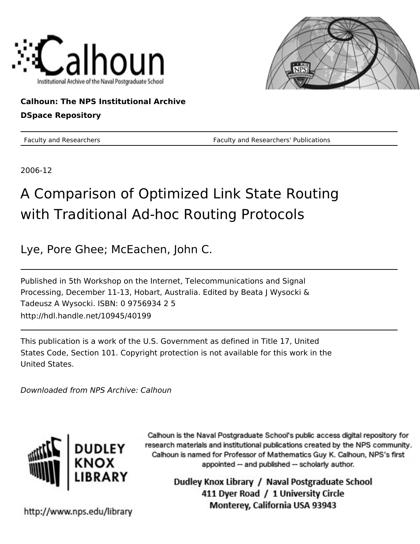



# **Calhoun: The NPS Institutional Archive DSpace Repository**

Faculty and Researchers Faculty and Researchers' Publications

2006-12

# A Comparison of Optimized Link State Routing with Traditional Ad-hoc Routing Protocols

Lye, Pore Ghee; McEachen, John C.

Published in 5th Workshop on the Internet, Telecommunications and Signal Processing, December 11-13, Hobart, Australia. Edited by Beata J Wysocki & Tadeusz A Wysocki. ISBN: 0 9756934 2 5 http://hdl.handle.net/10945/40199

This publication is a work of the U.S. Government as defined in Title 17, United States Code, Section 101. Copyright protection is not available for this work in the United States.

Downloaded from NPS Archive: Calhoun



Calhoun is the Naval Postgraduate School's public access digital repository for research materials and institutional publications created by the NPS community. Calhoun is named for Professor of Mathematics Guy K. Calhoun, NPS's first appointed -- and published -- scholarly author.

> Dudley Knox Library / Naval Postgraduate School 411 Dyer Road / 1 University Circle Monterey, California USA 93943

http://www.nps.edu/library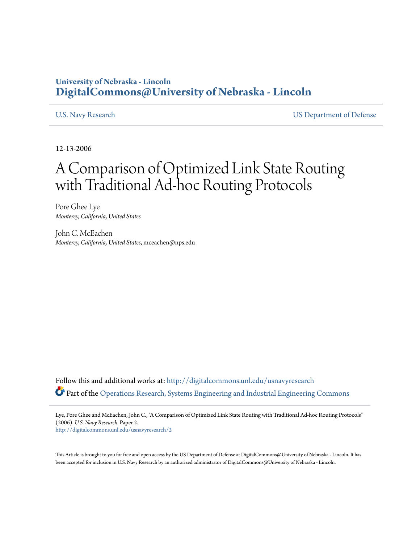# **University of Nebraska - Lincoln [DigitalCommons@University of Nebraska - Lincoln](http://digitalcommons.unl.edu?utm_source=digitalcommons.unl.edu%2Fusnavyresearch%2F2&utm_medium=PDF&utm_campaign=PDFCoverPages)**

[U.S. Navy Research](http://digitalcommons.unl.edu/usnavyresearch?utm_source=digitalcommons.unl.edu%2Fusnavyresearch%2F2&utm_medium=PDF&utm_campaign=PDFCoverPages) [US Department of Defense](http://digitalcommons.unl.edu/usdeptdefense?utm_source=digitalcommons.unl.edu%2Fusnavyresearch%2F2&utm_medium=PDF&utm_campaign=PDFCoverPages)

12-13-2006

# A Comparison of Optimized Link State Routing with Traditional Ad-hoc Routing Protocols

Pore Ghee Lye *Monterey, California, United States*

John C. McEachen *Monterey, California, United States*, mceachen@nps.edu

Follow this and additional works at: [http://digitalcommons.unl.edu/usnavyresearch](http://digitalcommons.unl.edu/usnavyresearch?utm_source=digitalcommons.unl.edu%2Fusnavyresearch%2F2&utm_medium=PDF&utm_campaign=PDFCoverPages) Part of the [Operations Research, Systems Engineering and Industrial Engineering Commons](http://network.bepress.com/hgg/discipline/305?utm_source=digitalcommons.unl.edu%2Fusnavyresearch%2F2&utm_medium=PDF&utm_campaign=PDFCoverPages)

Lye, Pore Ghee and McEachen, John C., "A Comparison of Optimized Link State Routing with Traditional Ad-hoc Routing Protocols" (2006). *U.S. Navy Research.* Paper 2. [http://digitalcommons.unl.edu/usnavyresearch/2](http://digitalcommons.unl.edu/usnavyresearch/2?utm_source=digitalcommons.unl.edu%2Fusnavyresearch%2F2&utm_medium=PDF&utm_campaign=PDFCoverPages)

This Article is brought to you for free and open access by the US Department of Defense at DigitalCommons@University of Nebraska - Lincoln. It has been accepted for inclusion in U.S. Navy Research by an authorized administrator of DigitalCommons@University of Nebraska - Lincoln.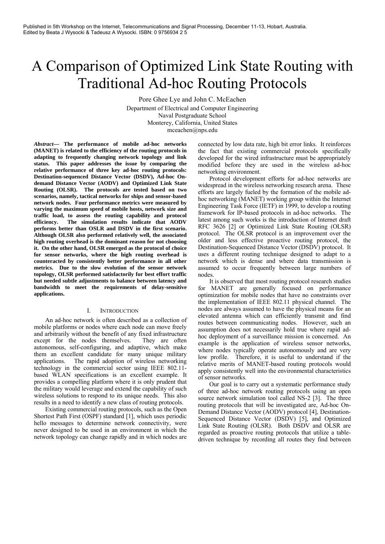# A Comparison of Optimized Link State Routing with Traditional Ad-hoc Routing Protocols

Pore Ghee Lye and John C. McEachen Department of Electrical and Computer Engineering Naval Postgraduate School Monterey, California, United States mceachen@nps.edu

*Abstract***— The performance of mobile ad-hoc networks (MANET) is related to the efficiency of the routing protocols in adapting to frequently changing network topology and link status. This paper addresses the issue by comparing the relative performance of three key ad-hoc routing protocols: Destination-sequenced Distance Vector (DSDV), Ad-hoc Ondemand Distance Vector (AODV) and Optimized Link State Routing (OLSR). The protocols are tested based on two scenarios, namely, tactical networks for ships and sensor-based network nodes. Four performance metrics were measured by varying the maximum speed of mobile hosts, network size and traffic load, to assess the routing capability and protocol efficiency. The simulation results indicate that AODV performs better than OSLR and DSDV in the first scenario. Although OLSR also performed relatively well, the associated high routing overhead is the dominant reason for not choosing it. On the other hand, OLSR emerged as the protocol of choice for sensor networks, where the high routing overhead is counteracted by consistently better performance in all other metrics. Due to the slow evolution of the sensor network topology, OLSR performed satisfactorily for best effort traffic but needed subtle adjustments to balance between latency and bandwidth to meet the requirements of delay-sensitive applications.** 

### I. INTRODUCTION

An ad-hoc network is often described as a collection of mobile platforms or nodes where each node can move freely and arbitrarily without the benefit of any fixed infrastructure except for the nodes themselves. They are often autonomous, self-configuring, and adaptive, which make them an excellent candidate for many unique military applications. The rapid adoption of wireless networking technology in the commercial sector using IEEE 802.11 based WLAN specifications is an excellent example. It provides a compelling platform where it is only prudent that the military would leverage and extend the capability of such wireless solutions to respond to its unique needs. This also results in a need to identify a new class of routing protocols.

Existing commercial routing protocols, such as the Open Shortest Path First (OSPF) standard [1], which uses periodic hello messages to determine network connectivity, were never designed to be used in an environment in which the network topology can change rapidly and in which nodes are

connected by low data rate, high bit error links. It reinforces the fact that existing commercial protocols specifically developed for the wired infrastructure must be appropriately modified before they are used in the wireless ad-hoc networking environment.

Protocol development efforts for ad-hoc networks are widespread in the wireless networking research arena. These efforts are largely fueled by the formation of the mobile adhoc networking (MANET) working group within the Internet Engineering Task Force (IETF) in 1999, to develop a routing framework for IP-based protocols in ad-hoc networks. The latest among such works is the introduction of Internet draft RFC 3626 [2] or Optimized Link State Routing (OLSR) protocol. The OLSR protocol is an improvement over the older and less effective proactive routing protocol, the Destination-Sequenced Distance Vector (DSDV) protocol. It uses a different routing technique designed to adapt to a network which is dense and where data transmission is assumed to occur frequently between large numbers of nodes.

It is observed that most routing protocol research studies for MANET are generally focused on performance optimization for mobile nodes that have no constraints over the implementation of IEEE 802.11 physical channel. The nodes are always assumed to have the physical means for an elevated antenna which can efficiently transmit and find routes between communicating nodes. However, such an assumption does not necessarily hold true where rapid adhoc deployment of a surveillance mission is concerned. An example is the application of wireless sensor networks, where nodes typically operate autonomously and are very low profile. Therefore, it is useful to understand if the relative merits of MANET-based routing protocols would apply consistently well into the environmental characteristics of sensor networks.

Our goal is to carry out a systematic performance study of three ad-hoc network routing protocols using an open source network simulation tool called NS-2 [3]. The three routing protocols that will be investigated are, Ad-hoc On-Demand Distance Vector (AODV) protocol [4], Destination-Sequenced Distance Vector (DSDV) [5], and Optimized Link State Routing (OLSR). Both DSDV and OLSR are regarded as proactive routing protocols that utilize a tabledriven technique by recording all routes they find between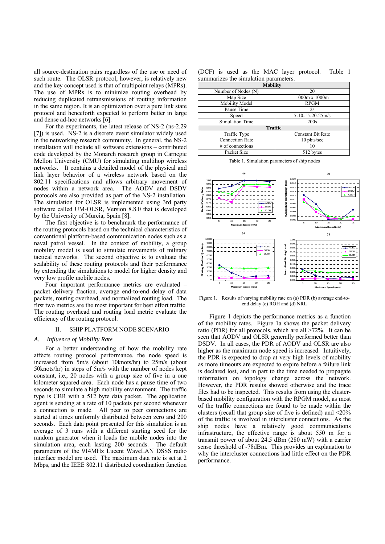all source-destination pairs regardless of the use or need of such route. The OLSR protocol, however, is relatively new and the key concept used is that of multipoint relays (MPRs). The use of MPRs is to minimize routing overhead by reducing duplicated retransmissions of routing information in the same region. It is an optimization over a pure link state protocol and henceforth expected to perform better in large and dense ad-hoc networks [6].

For the experiments, the latest release of NS-2 (ns-2.29 [7]) is used. NS-2 is a discrete event simulator widely used in the networking research community. In general, the NS-2 installation will include all software extensions – contributed code developed by the Monarch research group in Carnegie Mellon University (CMU) for simulating multihop wireless networks. It contains a detailed model of the physical and link layer behavior of a wireless network based on the 802.11 specifications and allows arbitrary movement of nodes within a network area. The AODV and DSDV protocols are also provided as part of the NS-2 installation. The simulation for OLSR is implemented using 3rd party software called UM-OLSR, Version 8.8.0 that is developed by the University of Murcia, Spain [8].

The first objective is to benchmark the performance of the routing protocols based on the technical characteristics of conventional platform-based communication nodes such as a naval patrol vessel. In the context of mobility, a group mobility model is used to simulate movements of military tactical networks. The second objective is to evaluate the scalability of these routing protocols and their performance by extending the simulations to model for higher density and very low profile mobile nodes.

Four important performance metrics are evaluated – packet delivery fraction, average end-to-end delay of data packets, routing overhead, and normalized routing load. The first two metrics are the most important for best effort traffic. The routing overhead and routing load metric evaluate the efficiency of the routing protocol.

### II. SHIP PLATFORM NODE SCENARIO

# *A. Influence of Mobility Rate*

For a better understanding of how the mobility rate affects routing protocol performance, the node speed is increased from 5m/s (about 10knots/hr) to 25m/s (about 50knots/hr) in steps of 5m/s with the number of nodes kept constant, i.e., 20 nodes with a group size of five in a one kilometer squared area. Each node has a pause time of two seconds to simulate a high mobility environment. The traffic type is CBR with a 512 byte data packet. The application agent is sending at a rate of 10 packets per second whenever a connection is made. All peer to peer connections are started at times uniformly distributed between zero and 200 seconds. Each data point presented for this simulation is an average of 3 runs with a different starting seed for the random generator when it loads the mobile nodes into the simulation area, each lasting 200 seconds. The default parameters of the 914MHz Lucent WaveLAN DSSS radio interface model are used. The maximum data rate is set at 2 Mbps, and the IEEE 802.11 distributed coordination function

|                                       |  |  |  |  |  |  | (DCF) is used as the MAC layer protocol. Table 1 |  |  |
|---------------------------------------|--|--|--|--|--|--|--------------------------------------------------|--|--|
| summarizes the simulation parameters. |  |  |  |  |  |  |                                                  |  |  |

| <b>Mobility</b>        |                          |  |  |  |  |  |  |
|------------------------|--------------------------|--|--|--|--|--|--|
| Number of Nodes (N)    | 20                       |  |  |  |  |  |  |
| Map Size               | 1000m x 1000m            |  |  |  |  |  |  |
| Mobility Model         | <b>RPGM</b>              |  |  |  |  |  |  |
| Pause Time             | 2s                       |  |  |  |  |  |  |
| Speed                  | $5-10-15-20-25m/s$       |  |  |  |  |  |  |
| <b>Simulation Time</b> | 200s                     |  |  |  |  |  |  |
| <b>Traffic</b>         |                          |  |  |  |  |  |  |
| Traffic Type           | <b>Constant Bit Rate</b> |  |  |  |  |  |  |
| <b>Connection Rate</b> | 10 pkts/sec              |  |  |  |  |  |  |
| # of connections       | 10                       |  |  |  |  |  |  |
| Packet Size            | 512 bytes                |  |  |  |  |  |  |

Table 1. Simulation parameters of ship nodes



Figure 1. Results of varying mobility rate on (a) PDR (b) average end-toend delay (c) ROH and (d) NRL

Figure 1 depicts the performance metrics as a function of the mobility rates. Figure 1a shows the packet delivery ratio (PDR) for all protocols, which are all >72%. It can be seen that AODV and OLSR generally performed better than DSDV. In all cases, the PDR of AODV and OLSR are also higher as the maximum node speed is increased. Intuitively, the PDR is expected to drop at very high levels of mobility as more timeouts are expected to expire before a failure link is declared lost, and in part to the time needed to propagate information on topology change across the network. However, the PDR results showed otherwise and the trace files had to be inspected. This results from using the clusterbased mobility configuration with the RPGM model, as most of the traffic connections are found to be made within the clusters (recall that group size of five is defined) and <20% of the traffic is involved in intercluster connections. As the ship nodes have a relatively good communications infrastructure, the effective range is about 550 m for a transmit power of about 24.5 dBm (280 mW) with a carrier sense threshold of -78dBm. This provides an explanation to why the intercluster connections had little effect on the PDR performance.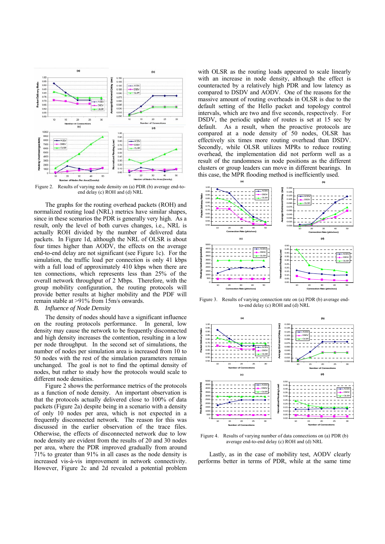

Figure 2. Results of varying node density on (a) PDR (b) average end-toend delay (c) ROH and (d) NRL

The graphs for the routing overhead packets (ROH) and normalized routing load (NRL) metrics have similar shapes, since in these scenarios the PDR is generally very high. As a result, only the level of both curves changes, i.e., NRL is actually ROH divided by the number of delivered data packets. In Figure 1d, although the NRL of OLSR is about four times higher than AODV, the effects on the average end-to-end delay are not significant (see Figure 1c). For the simulation, the traffic load per connection is only 41 kbps with a full load of approximately 410 kbps when there are ten connections, which represents less than 25% of the overall network throughput of 2 Mbps. Therefore, with the group mobility configuration, the routing protocols will provide better results at higher mobility and the PDF will remain stable at >91% from 15m/s onwards.

# *B. Influence of Node Density*

The density of nodes should have a significant influence on the routing protocols performance. In general, low density may cause the network to be frequently disconnected and high density increases the contention, resulting in a low per node throughput. In the second set of simulations, the number of nodes per simulation area is increased from 10 to 50 nodes with the rest of the simulation parameters remain unchanged. The goal is not to find the optimal density of nodes, but rather to study how the protocols would scale to different node densities.

Figure 2 shows the performance metrics of the protocols as a function of node density. An important observation is that the protocols actually delivered close to 100% of data packets (Figure 2a) despite being in a scenario with a density of only 10 nodes per area, which is not expected in a frequently disconnected network. The reason for this was discussed in the earlier observation of the trace files. Otherwise, the effects of disconnected network due to low node density are evident from the results of 20 and 30 nodes per area, where the PDR improved gradually from around 71% to greater than 91% in all cases as the node density is increased vis-à-vis improvement in network connectivity. However, Figure 2c and 2d revealed a potential problem with OLSR as the routing loads appeared to scale linearly with an increase in node density, although the effect is counteracted by a relatively high PDR and low latency as compared to DSDV and AODV. One of the reasons for the massive amount of routing overheads in OLSR is due to the default setting of the Hello packet and topology control intervals, which are two and five seconds, respectively. For DSDV, the periodic update of routes is set at 15 sec by default. As a result, when the proactive protocols are compared at a node density of 50 nodes, OLSR has effectively six times more routing overhead than DSDV. Secondly, while OLSR utilizes MPRs to reduce routing overhead, the implementation did not perform well as a result of the randomness in node positions as the different clusters or group leaders can move in different bearings. In this case, the MPR flooding method is inefficiently used.



Figure 3. Results of varying connection rate on (a) PDR (b) average endto-end delay (c) ROH and (d) NRL



Figure 4. Results of varying number of data connections on (a) PDR (b) average end-to-end delay (c) ROH and (d) NRL

Lastly, as in the case of mobility test, AODV clearly performs better in terms of PDR, while at the same time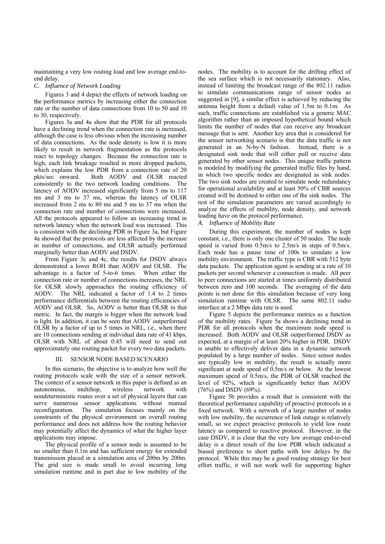maintaining a very low routing load and low average end-toend delay.

# *C. Influence of Network Loading*

Figures 3 and 4 depict the effects of network loading on the performance metrics by increasing either the connection rate or the number of data connections from 10 to 50 and 10 to 30, respectively.

Figures 3a and 4a show that the PDR for all protocols have a declining trend when the connection rate is increased. although the case is less obvious when the increasing number of data connections. As the node density is low it is more likely to result in network fragmentation as the protocols react to topology changes. Because the connection rate is high, each link breakage resulted in more dropped packets, which explains the low PDR from a connection rate of 20 pkts/sec onward. Both AODV and OLSR reacted consistently to the two network loading conditions. The latency of AODV increased significantly from 5 ms to 117 ms and 3 ms to 37 ms, whereas the latency of OLSR increased from 2 ms to 80 ms and 5 ms to 37 ms when the connection rate and number of connections were increased. All the protocols appeared to follow an increasing trend in network latency when the network load was increased. This is consistent with the declining PDR in Figure 3a, but Figure 4a showed that the protocols are less affected by the increase in number of connections, and OLSR actually performed marginally better than AODV and DSDV.

From Figure 3c and 4c, the results for DSDV always demonstrated a lower ROH than AODV and OLSR. The advantage is a factor of 5-to-6 times. When either the connection rate or number of connections increases, the NRL for OLSR slowly approaches the routing efficiency of AODV. The NRL indicated a factor of 1.4 to 2 times performance differentials between the routing efficiencies of AODV and OLSR. So, AODV is better than OLSR in that metric. In fact, the margin is bigger when the network load is light. In addition, it can be seen that AODV outperformed OLSR by a factor of up to 5 times in NRL, i.e., when there are 10 connections sending at individual data rate of 41 kbps, OLSR with NRL of about 0.45 will need to send out approximately one routing packet for every two data packets.

### III. SENSOR NODE BASED SCENARIO

In this scenario, the objective is to analyze how well the routing protocols scale with the size of a sensor network. The context of a sensor network in this paper is defined as an autonomous, multihop, wireless network with nondeterministic routes over a set of physical layers that can serve numerous sensor applications without manual reconfiguration. The simulation focuses mainly on the constraints of the physical environment on overall routing performance and does not address how the routing behavior may potentially affect the dynamics of what the higher layer applications may impose.

The physical profile of a sensor node is assumed to be no smaller than 0.1m and has sufficient energy for extended transmission placed in a simulation area of 200m by 200m. The grid size is made small to avoid incurring long simulation runtime and in part due to low mobility of the nodes. The mobility is to account for the drifting effect of the sea surface which is not necessarily stationary. Also, instead of limiting the broadcast range of the 802.11 radios to simulate communications range of sensor nodes as suggested in [9], a similar effect is achieved by reducing the antenna height from a default value of 1.5m to 0.1m. As such, traffic connections are established via a generic MAC algorithm rather than an imposed hypothetical bound which limits the number of nodes that can receive any broadcast message that is sent. Another key area that is considered for the sensor networking scenario is that the data traffic is not generated in an N-by-N fashion. Instead, there is a designated sink node that will either pull or receive data generated by other sensor nodes. This unique traffic pattern is modeled by modifying the generated traffic files by hand, in which two specific nodes are designated as sink nodes. The two sink nodes are created to simulate node redundancy for operational availability and at least 50% of CBR sources created will be destined to either one of the sink nodes. The rest of the simulation parameters are varied accordingly to analyze the effects of mobility, node density, and network loading have on the protocol performance.

# *A. Influence of Mobility Rate*

During this experiment, the number of nodes is kept constant, i.e., there is only one cluster of 50 nodes. The node speed is varied from 0.5m/s to 2.5m/s in steps of 0.5m/s. Each node has a pause time of 100s to simulate a low mobility environment. The traffic type is CBR with 512 byte data packets. The application agent is sending at a rate of 10 packets per second whenever a connection is made. All peer to peer connections are started at times uniformly distributed between zero and 100 seconds. The averaging of the data points is not done for this simulation because of very long simulation runtime with OLSR. The same 802.11 radio interface at a 2 Mbps data rate is used.

Figure 5 depicts the performance metrics as a function of the mobility rates. Figure 5a shows a declining trend in PDR for all protocols when the maximum node speed is increased. Both AODV and OLSR outperformed DSDV as expected, at a margin of at least 20% higher in PDR. DSDV is unable to effectively deliver data in a dynamic network populated by a large number of nodes. Since sensor nodes are typically low in mobility, the result is actually more significant at node speed of 0.5m/s or below. At the lowest maximum speed of 0.5m/s, the PDR of OLSR reached the level of 92%, which is significantly better than AODV (76%) and DSDV (69%).

Figure 5b provides a result that is consistent with the theoretical performance capability of proactive protocols in a fixed network. With a network of a large number of nodes with low mobility, the occurrence of link outage is relatively small, so we expect proactive protocols to yield low route latency as compared to reactive protocol. However, in the case DSDV, it is clear that the very low average end-to-end delay is a direct result of the low PDR which indicated a biased preference to short paths with low delays by the protocol. While this may be a good routing strategy for best effort traffic, it will not work well for supporting higher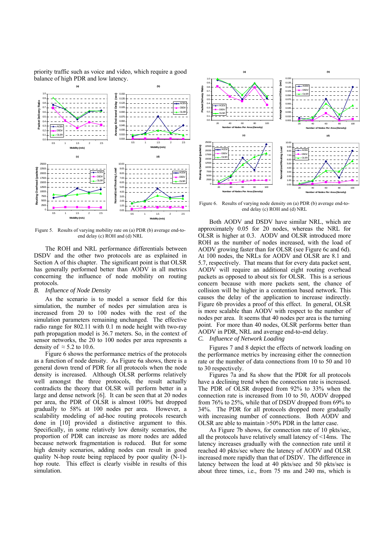priority traffic such as voice and video, which require a good balance of high PDR and low latency.



Figure 5. Results of varying mobility rate on (a) PDR (b) average end-toend delay (c) ROH and (d) NRL

The ROH and NRL performance differentials between DSDV and the other two protocols are as explained in Section A of this chapter. The significant point is that OLSR has generally performed better than AODV in all metrics concerning the influence of node mobility on routing protocols.

## *B. Influence of Node Density*

As the scenario is to model a sensor field for this simulation, the number of nodes per simulation area is increased from 20 to 100 nodes with the rest of the simulation parameters remaining unchanged. The effective radio range for 802.11 with 0.1 m node height with two-ray path propagation model is 36.7 meters. So, in the context of sensor networks, the 20 to 100 nodes per area represents a density of  $\approx$  5.2 to 10.6.

Figure 6 shows the performance metrics of the protocols as a function of node density. As Figure 6a shows, there is a general down trend of PDR for all protocols when the node density is increased. Although OLSR performs relatively well amongst the three protocols, the result actually contradicts the theory that OLSR will perform better in a large and dense network [6]. It can be seen that at 20 nodes per area, the PDR of OLSR is almost 100% but dropped gradually to 58% at 100 nodes per area. However, a scalability modeling of ad-hoc routing protocols research done in [10] provided a distinctive argument to this. Specifically, in some relatively low density scenarios, the proportion of PDR can increase as more nodes are added because network fragmentation is reduced. But for some high density scenarios, adding nodes can result in good quality N-hop route being replaced by poor quality (N-1) hop route. This effect is clearly visible in results of this simulation.



Figure 6. Results of varying node density on (a) PDR (b) average end-toend delay (c) ROH and (d) NRL

Both AODV and DSDV have similar NRL, which are approximately 0.05 for 20 nodes, whereas the NRL for OLSR is higher at 0.3. AODV and OLSR introduced more ROH as the number of nodes increased, with the load of AODV growing faster than for OLSR (see Figure 6c and 6d). At 100 nodes, the NRLs for AODV and OLSR are 8.1 and 5.7, respectively. That means that for every data packet sent, AODV will require an additional eight routing overhead packets as opposed to about six for OLSR. This is a serious concern because with more packets sent, the chance of collision will be higher in a contention based network. This causes the delay of the application to increase indirectly. Figure 6b provides a proof of this effect. In general, OLSR is more scalable than AODV with respect to the number of nodes per area. It seems that 40 nodes per area is the turning point. For more than 40 nodes, OLSR performs better than AODV in PDR, NRL and average end-to-end delay.

*C. Influence of Network Loading* 

Figures 7 and 8 depict the effects of network loading on the performance metrics by increasing either the connection rate or the number of data connections from 10 to 50 and 10 to 30 respectively.

Figures 7a and 8a show that the PDR for all protocols have a declining trend when the connection rate is increased. The PDR of OLSR dropped from 92% to 33% when the connection rate is increased from 10 to 50, AODV dropped from 76% to 25%, while that of DSDV dropped from 69% to 34%. The PDR for all protocols dropped more gradually with increasing number of connections. Both AODV and OLSR are able to maintain >50% PDR in the latter case.

As Figure 7b shows, for connection rate of 10 pkts/sec, all the protocols have relatively small latency of <14ms. The latency increases gradually with the connection rate until it reached 40 pkts/sec where the latency of AODV and OLSR increased more rapidly than that of DSDV. The difference in latency between the load at 40 pkts/sec and 50 pkts/sec is about three times, i.e., from 75 ms and 240 ms, which is